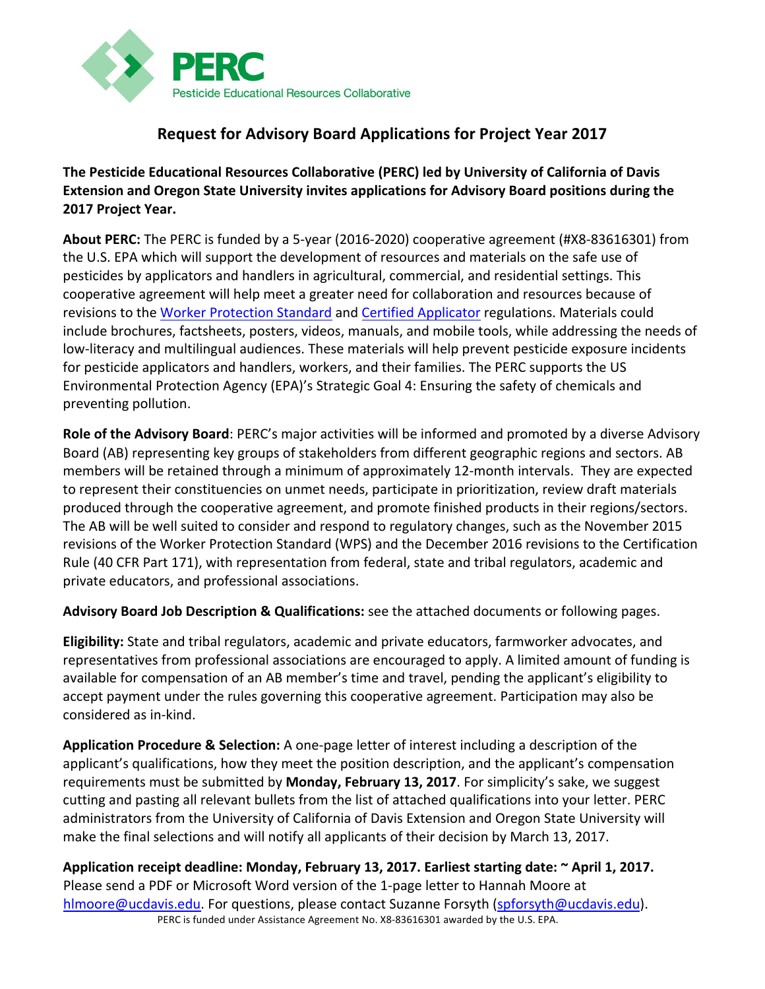

### **Request for Advisory Board Applications for Project Year 2017**

The Pesticide Educational Resources Collaborative (PERC) led by University of California of Davis **Extension and Oregon State University invites applications for Advisory Board positions during the 2017 Project Year.**

**About PERC:** The PERC is funded by a 5-year (2016-2020) cooperative agreement (#X8-83616301) from the U.S. EPA which will support the development of resources and materials on the safe use of pesticides by applicators and handlers in agricultural, commercial, and residential settings. This cooperative agreement will help meet a greater need for collaboration and resources because of revisions to the Worker Protection Standard and Certified Applicator regulations. Materials could include brochures, factsheets, posters, videos, manuals, and mobile tools, while addressing the needs of low-literacy and multilingual audiences. These materials will help prevent pesticide exposure incidents for pesticide applicators and handlers, workers, and their families. The PERC supports the US Environmental Protection Agency (EPA)'s Strategic Goal 4: Ensuring the safety of chemicals and preventing pollution.

**Role of the Advisory Board:** PERC's major activities will be informed and promoted by a diverse Advisory Board (AB) representing key groups of stakeholders from different geographic regions and sectors. AB members will be retained through a minimum of approximately 12-month intervals. They are expected to represent their constituencies on unmet needs, participate in prioritization, review draft materials produced through the cooperative agreement, and promote finished products in their regions/sectors. The AB will be well suited to consider and respond to regulatory changes, such as the November 2015 revisions of the Worker Protection Standard (WPS) and the December 2016 revisions to the Certification Rule (40 CFR Part 171), with representation from federal, state and tribal regulators, academic and private educators, and professional associations.

Advisory Board Job Description & Qualifications: see the attached documents or following pages.

**Eligibility:** State and tribal regulators, academic and private educators, farmworker advocates, and representatives from professional associations are encouraged to apply. A limited amount of funding is available for compensation of an AB member's time and travel, pending the applicant's eligibility to accept payment under the rules governing this cooperative agreement. Participation may also be considered as in-kind.

**Application Procedure & Selection:** A one-page letter of interest including a description of the applicant's qualifications, how they meet the position description, and the applicant's compensation requirements must be submitted by Monday, February 13, 2017. For simplicity's sake, we suggest cutting and pasting all relevant bullets from the list of attached qualifications into your letter. PERC administrators from the University of California of Davis Extension and Oregon State University will make the final selections and will notify all applicants of their decision by March 13, 2017.

PERC is funded under Assistance Agreement No. X8-83616301 awarded by the U.S. EPA. Application receipt deadline: Monday, February 13, 2017. Earliest starting date: ~ April 1, 2017. Please send a PDF or Microsoft Word version of the 1-page letter to Hannah Moore at hlmoore@ucdavis.edu. For questions, please contact Suzanne Forsyth (spforsyth@ucdavis.edu).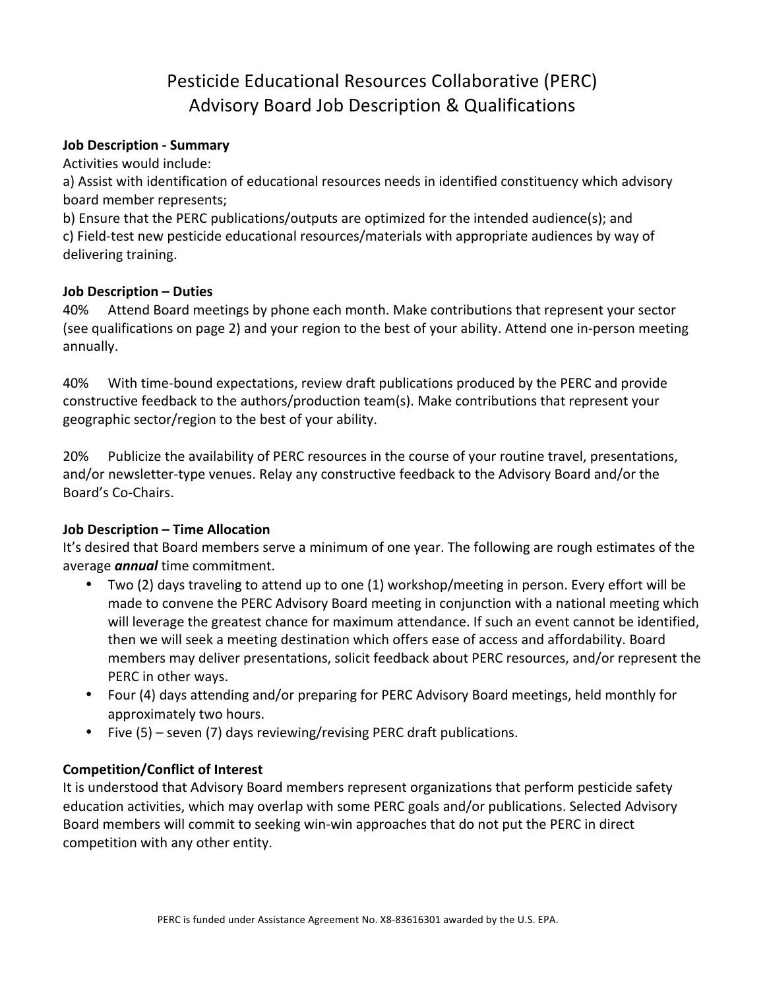## Pesticide Educational Resources Collaborative (PERC) Advisory Board Job Description & Qualifications

#### **Job Description - Summary**

Activities would include:

a) Assist with identification of educational resources needs in identified constituency which advisory board member represents;

b) Ensure that the PERC publications/outputs are optimized for the intended audience(s); and c) Field-test new pesticide educational resources/materials with appropriate audiences by way of delivering training.

#### **Job Description – Duties**

40% Attend Board meetings by phone each month. Make contributions that represent your sector (see qualifications on page 2) and your region to the best of your ability. Attend one in-person meeting annually. 

40% With time-bound expectations, review draft publications produced by the PERC and provide constructive feedback to the authors/production team(s). Make contributions that represent your geographic sector/region to the best of your ability.

20% Publicize the availability of PERC resources in the course of your routine travel, presentations, and/or newsletter-type venues. Relay any constructive feedback to the Advisory Board and/or the Board's Co-Chairs.

#### **Job Description – Time Allocation**

It's desired that Board members serve a minimum of one year. The following are rough estimates of the average *annual* time commitment.

- Two (2) days traveling to attend up to one (1) workshop/meeting in person. Every effort will be made to convene the PERC Advisory Board meeting in conjunction with a national meeting which will leverage the greatest chance for maximum attendance. If such an event cannot be identified, then we will seek a meeting destination which offers ease of access and affordability. Board members may deliver presentations, solicit feedback about PERC resources, and/or represent the PERC in other ways.
- Four (4) days attending and/or preparing for PERC Advisory Board meetings, held monthly for approximately two hours.
- Five  $(5)$  seven  $(7)$  days reviewing/revising PERC draft publications.

#### **Competition/Conflict of Interest**

It is understood that Advisory Board members represent organizations that perform pesticide safety education activities, which may overlap with some PERC goals and/or publications. Selected Advisory Board members will commit to seeking win-win approaches that do not put the PERC in direct competition with any other entity.